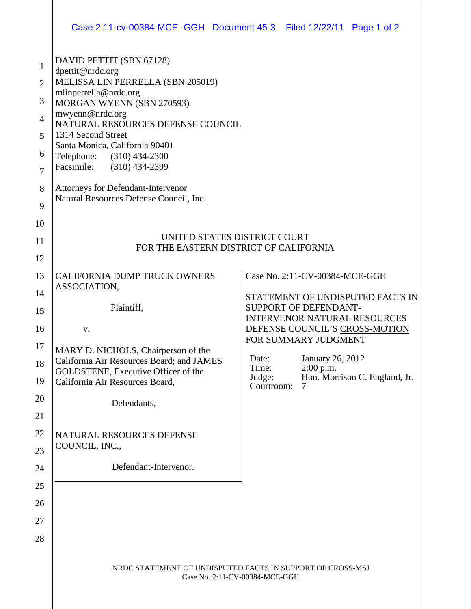|                                                                                  | Case 2:11-cv-00384-MCE -GGH  Document 45-3  Filed 12/22/11  Page 1 of 2                                                                                                                                                                                                                                                                                                                                 |                          |                                                                                                                                                                                                                                                                                     |  |  |
|----------------------------------------------------------------------------------|---------------------------------------------------------------------------------------------------------------------------------------------------------------------------------------------------------------------------------------------------------------------------------------------------------------------------------------------------------------------------------------------------------|--------------------------|-------------------------------------------------------------------------------------------------------------------------------------------------------------------------------------------------------------------------------------------------------------------------------------|--|--|
| 1<br>$\overline{2}$<br>3<br>$\overline{4}$<br>5<br>6<br>$\overline{7}$<br>8<br>9 | DAVID PETTIT (SBN 67128)<br>dpettit@nrdc.org<br>MELISSA LIN PERRELLA (SBN 205019)<br>mlinperrella@nrdc.org<br>MORGAN WYENN (SBN 270593)<br>mwyenn@nrdc.org<br>NATURAL RESOURCES DEFENSE COUNCIL<br>1314 Second Street<br>Santa Monica, California 90401<br>Telephone: (310) 434-2300<br>Facsimile:<br>$(310)$ 434-2399<br>Attorneys for Defendant-Intervenor<br>Natural Resources Defense Council, Inc. |                          |                                                                                                                                                                                                                                                                                     |  |  |
| 10<br>11<br>12                                                                   | UNITED STATES DISTRICT COURT<br>FOR THE EASTERN DISTRICT OF CALIFORNIA                                                                                                                                                                                                                                                                                                                                  |                          |                                                                                                                                                                                                                                                                                     |  |  |
| 13<br>14<br>15<br>16<br>17<br>18<br>19<br>20<br>21<br>22<br>23<br>24             | <b>CALIFORNIA DUMP TRUCK OWNERS</b><br>ASSOCIATION,<br>Plaintiff,<br>V.<br>MARY D. NICHOLS, Chairperson of the<br>California Air Resources Board; and JAMES<br>GOLDSTENE, Executive Officer of the<br>California Air Resources Board,<br>Defendants,<br>NATURAL RESOURCES DEFENSE<br>COUNCIL, INC.,<br>Defendant-Intervenor.                                                                            | Date:<br>Time:<br>Judge: | Case No. 2:11-CV-00384-MCE-GGH<br>STATEMENT OF UNDISPUTED FACTS IN<br>SUPPORT OF DEFENDANT-<br><b>INTERVENOR NATURAL RESOURCES</b><br>DEFENSE COUNCIL'S CROSS-MOTION<br>FOR SUMMARY JUDGMENT<br>January 26, 2012<br>$2:00$ p.m.<br>Hon. Morrison C. England, Jr.<br>Courtroom:<br>7 |  |  |
| 25<br>26<br>27<br>28                                                             |                                                                                                                                                                                                                                                                                                                                                                                                         |                          |                                                                                                                                                                                                                                                                                     |  |  |
|                                                                                  | NRDC STATEMENT OF UNDISPUTED FACTS IN SUPPORT OF CROSS-MSJ<br>Case No. 2:11-CV-00384-MCE-GGH                                                                                                                                                                                                                                                                                                            |                          |                                                                                                                                                                                                                                                                                     |  |  |